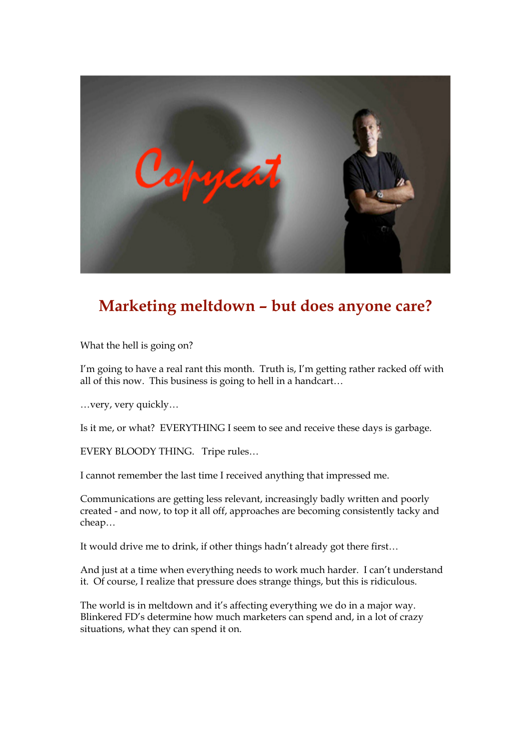

## **Marketing meltdown – but does anyone care?**

What the hell is going on?

I'm going to have a real rant this month. Truth is, I'm getting rather racked off with all of this now. This business is going to hell in a handcart…

…very, very quickly…

Is it me, or what? EVERYTHING I seem to see and receive these days is garbage.

EVERY BLOODY THING. Tripe rules…

I cannot remember the last time I received anything that impressed me.

Communications are getting less relevant, increasingly badly written and poorly created - and now, to top it all off, approaches are becoming consistently tacky and cheap…

It would drive me to drink, if other things hadn't already got there first…

And just at a time when everything needs to work much harder. I can't understand it. Of course, I realize that pressure does strange things, but this is ridiculous.

The world is in meltdown and it's affecting everything we do in a major way. Blinkered FD's determine how much marketers can spend and, in a lot of crazy situations, what they can spend it on.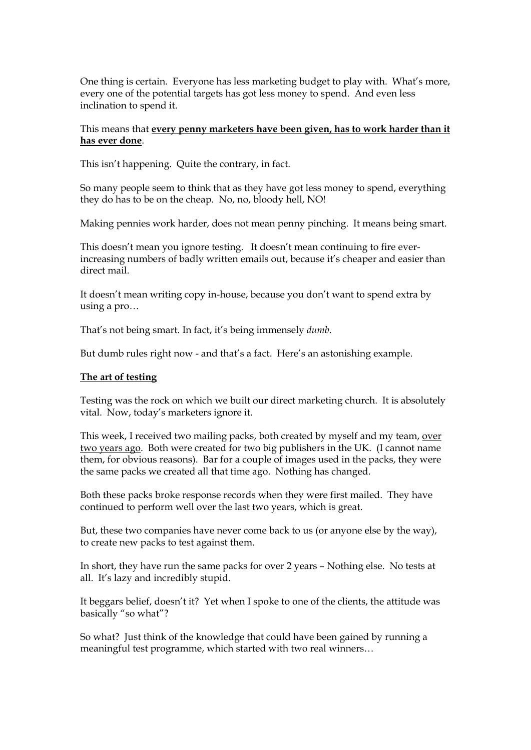One thing is certain. Everyone has less marketing budget to play with. What's more, every one of the potential targets has got less money to spend. And even less inclination to spend it.

## This means that **every penny marketers have been given, has to work harder than it has ever done**.

This isn't happening. Quite the contrary, in fact.

So many people seem to think that as they have got less money to spend, everything they do has to be on the cheap. No, no, bloody hell, NO!

Making pennies work harder, does not mean penny pinching. It means being smart.

This doesn't mean you ignore testing. It doesn't mean continuing to fire everincreasing numbers of badly written emails out, because it's cheaper and easier than direct mail.

It doesn't mean writing copy in-house, because you don't want to spend extra by using a pro…

That's not being smart. In fact, it's being immensely *dumb*.

But dumb rules right now - and that's a fact. Here's an astonishing example.

## **The art of testing**

Testing was the rock on which we built our direct marketing church. It is absolutely vital. Now, today's marketers ignore it.

This week, I received two mailing packs, both created by myself and my team, over two years ago. Both were created for two big publishers in the UK. (I cannot name them, for obvious reasons). Bar for a couple of images used in the packs, they were the same packs we created all that time ago. Nothing has changed.

Both these packs broke response records when they were first mailed. They have continued to perform well over the last two years, which is great.

But, these two companies have never come back to us (or anyone else by the way), to create new packs to test against them.

In short, they have run the same packs for over 2 years – Nothing else. No tests at all. It's lazy and incredibly stupid.

It beggars belief, doesn't it? Yet when I spoke to one of the clients, the attitude was basically "so what"?

So what? Just think of the knowledge that could have been gained by running a meaningful test programme, which started with two real winners…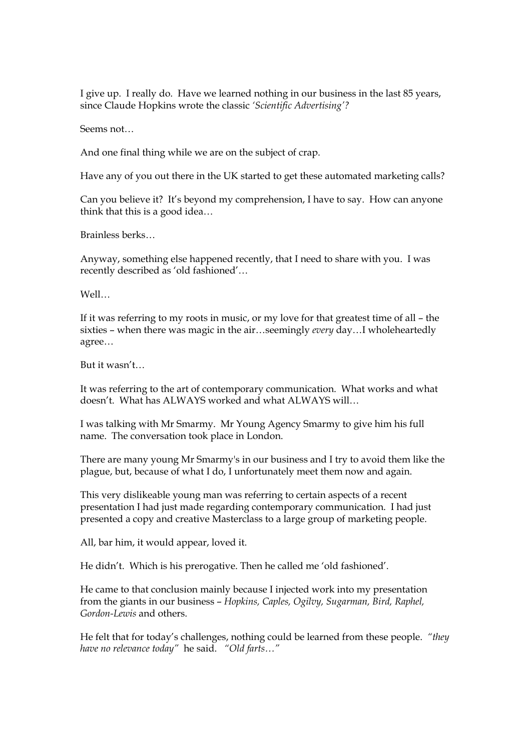I give up. I really do. Have we learned nothing in our business in the last 85 years, since Claude Hopkins wrote the classic *'Scientific Advertising'?*

Seems not…

And one final thing while we are on the subject of crap.

Have any of you out there in the UK started to get these automated marketing calls?

Can you believe it? It's beyond my comprehension, I have to say. How can anyone think that this is a good idea…

Brainless berks…

Anyway, something else happened recently, that I need to share with you. I was recently described as 'old fashioned'…

Well…

If it was referring to my roots in music, or my love for that greatest time of all – the sixties – when there was magic in the air…seemingly *every* day…I wholeheartedly agree…

But it wasn't…

It was referring to the art of contemporary communication. What works and what doesn't. What has ALWAYS worked and what ALWAYS will…

I was talking with Mr Smarmy. Mr Young Agency Smarmy to give him his full name. The conversation took place in London.

There are many young Mr Smarmy's in our business and I try to avoid them like the plague, but, because of what I do, I unfortunately meet them now and again.

This very dislikeable young man was referring to certain aspects of a recent presentation I had just made regarding contemporary communication. I had just presented a copy and creative Masterclass to a large group of marketing people.

All, bar him, it would appear, loved it.

He didn't. Which is his prerogative. Then he called me 'old fashioned'.

He came to that conclusion mainly because I injected work into my presentation from the giants in our business – *Hopkins, Caples, Ogilvy, Sugarman, Bird, Raphel, Gordon-Lewis* and others.

He felt that for today's challenges, nothing could be learned from these people. *"they have no relevance today"* he said. *"Old farts…"*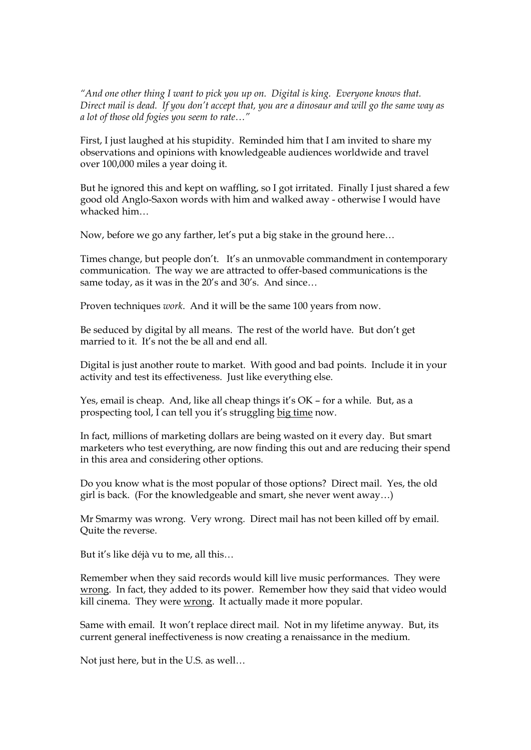*"And one other thing I want to pick you up on. Digital is king. Everyone knows that. Direct mail is dead. If you don't accept that, you are a dinosaur and will go the same way as a lot of those old fogies you seem to rate…"*

First, I just laughed at his stupidity. Reminded him that I am invited to share my observations and opinions with knowledgeable audiences worldwide and travel over 100,000 miles a year doing it.

But he ignored this and kept on waffling, so I got irritated. Finally I just shared a few good old Anglo-Saxon words with him and walked away - otherwise I would have whacked him…

Now, before we go any farther, let's put a big stake in the ground here…

Times change, but people don't. It's an unmovable commandment in contemporary communication. The way we are attracted to offer-based communications is the same today, as it was in the 20's and 30's. And since…

Proven techniques *work*. And it will be the same 100 years from now.

Be seduced by digital by all means. The rest of the world have. But don't get married to it. It's not the be all and end all.

Digital is just another route to market. With good and bad points. Include it in your activity and test its effectiveness. Just like everything else.

Yes, email is cheap. And, like all cheap things it's OK – for a while. But, as a prospecting tool, I can tell you it's struggling big time now.

In fact, millions of marketing dollars are being wasted on it every day. But smart marketers who test everything, are now finding this out and are reducing their spend in this area and considering other options.

Do you know what is the most popular of those options? Direct mail. Yes, the old girl is back. (For the knowledgeable and smart, she never went away…)

Mr Smarmy was wrong. Very wrong. Direct mail has not been killed off by email. Quite the reverse.

But it's like déjà vu to me, all this…

Remember when they said records would kill live music performances. They were wrong. In fact, they added to its power. Remember how they said that video would kill cinema. They were wrong. It actually made it more popular.

Same with email. It won't replace direct mail. Not in my lifetime anyway. But, its current general ineffectiveness is now creating a renaissance in the medium.

Not just here, but in the U.S. as well…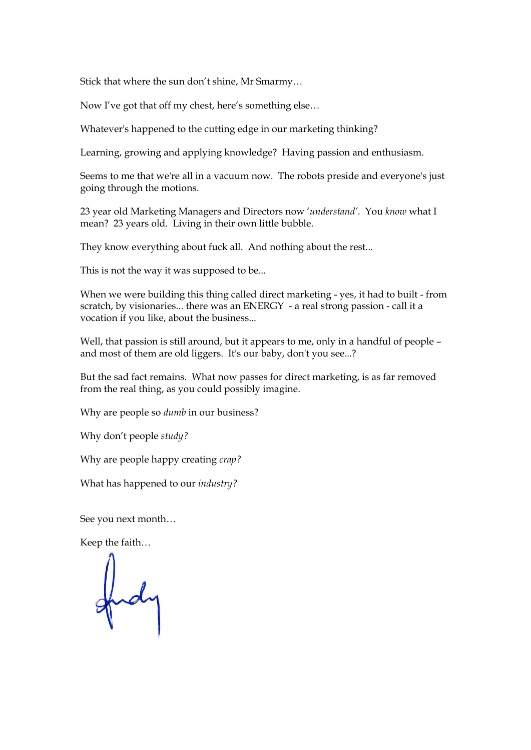Stick that where the sun don't shine, Mr Smarmy…

Now I've got that off my chest, here's something else…

Whatever's happened to the cutting edge in our marketing thinking?

Learning, growing and applying knowledge? Having passion and enthusiasm.

Seems to me that we're all in a vacuum now. The robots preside and everyone's just going through the motions.

23 year old Marketing Managers and Directors now '*understand'*. You *know* what I mean? 23 years old. Living in their own little bubble.

They know everything about fuck all. And nothing about the rest...

This is not the way it was supposed to be...

When we were building this thing called direct marketing - yes, it had to built - from scratch, by visionaries... there was an ENERGY - a real strong passion - call it a vocation if you like, about the business...

Well, that passion is still around, but it appears to me, only in a handful of people – and most of them are old liggers. It's our baby, don't you see...?

But the sad fact remains. What now passes for direct marketing, is as far removed from the real thing, as you could possibly imagine.

Why are people so *dumb* in our business?

Why don't people *study?*

Why are people happy creating *crap?*

What has happened to our *industry?*

See you next month…

Keep the faith…

fud